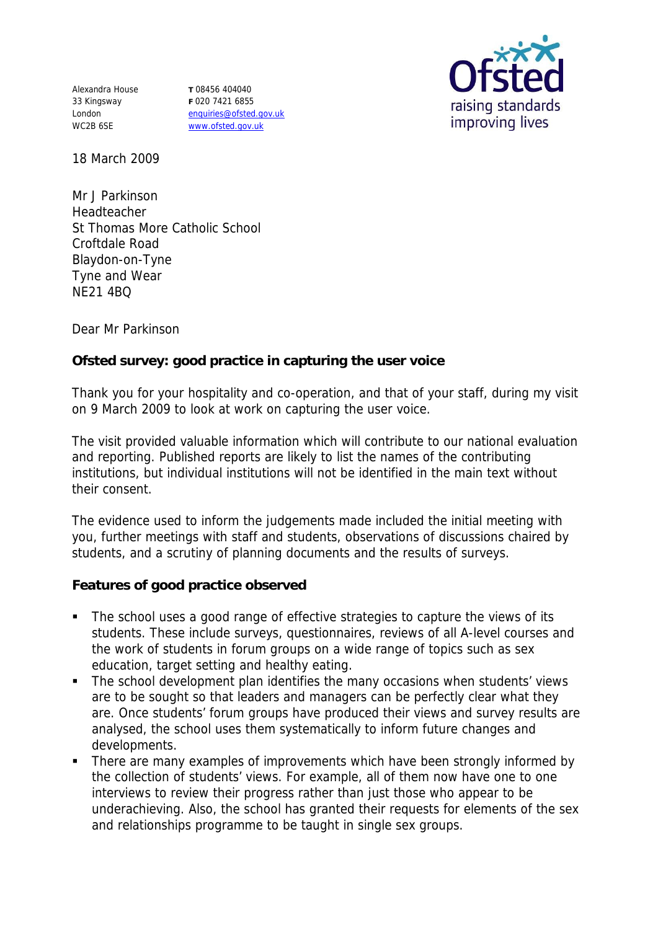Alexandra House 33 Kingsway London WC2B 6SE

**T** 08456 404040 **F** 020 7421 6855 enquiries@ofsted.gov.uk www.ofsted.gov.uk



18 March 2009

Mr J Parkinson Headteacher St Thomas More Catholic School Croftdale Road Blaydon-on-Tyne Tyne and Wear NE21 4BQ

Dear Mr Parkinson

**Ofsted survey: good practice in capturing the user voice** 

Thank you for your hospitality and co-operation, and that of your staff, during my visit on 9 March 2009 to look at work on capturing the user voice.

The visit provided valuable information which will contribute to our national evaluation and reporting. Published reports are likely to list the names of the contributing institutions, but individual institutions will not be identified in the main text without their consent.

The evidence used to inform the judgements made included the initial meeting with you, further meetings with staff and students, observations of discussions chaired by students, and a scrutiny of planning documents and the results of surveys.

**Features of good practice observed**

- The school uses a good range of effective strategies to capture the views of its students. These include surveys, questionnaires, reviews of all A-level courses and the work of students in forum groups on a wide range of topics such as sex education, target setting and healthy eating.
- The school development plan identifies the many occasions when students' views are to be sought so that leaders and managers can be perfectly clear what they are. Once students' forum groups have produced their views and survey results are analysed, the school uses them systematically to inform future changes and developments.
- There are many examples of improvements which have been strongly informed by the collection of students' views. For example, all of them now have one to one interviews to review their progress rather than just those who appear to be underachieving. Also, the school has granted their requests for elements of the sex and relationships programme to be taught in single sex groups.